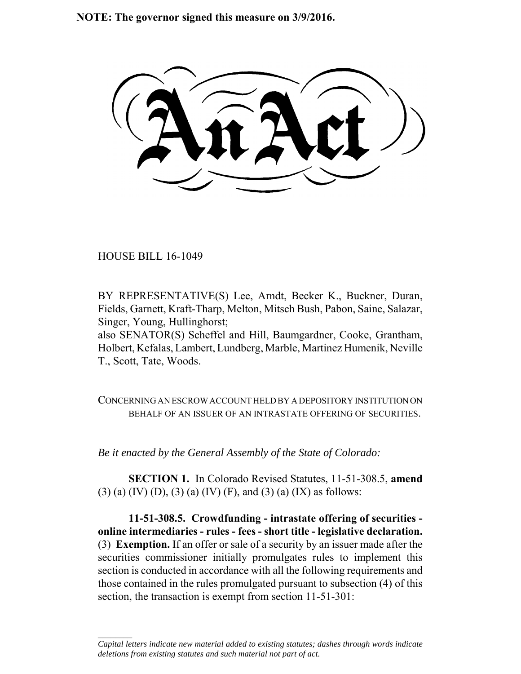**NOTE: The governor signed this measure on 3/9/2016.**

HOUSE BILL 16-1049

 $\frac{1}{2}$ 

BY REPRESENTATIVE(S) Lee, Arndt, Becker K., Buckner, Duran, Fields, Garnett, Kraft-Tharp, Melton, Mitsch Bush, Pabon, Saine, Salazar, Singer, Young, Hullinghorst;

also SENATOR(S) Scheffel and Hill, Baumgardner, Cooke, Grantham, Holbert, Kefalas, Lambert, Lundberg, Marble, Martinez Humenik, Neville T., Scott, Tate, Woods.

CONCERNING AN ESCROW ACCOUNT HELD BY A DEPOSITORY INSTITUTION ON BEHALF OF AN ISSUER OF AN INTRASTATE OFFERING OF SECURITIES.

*Be it enacted by the General Assembly of the State of Colorado:*

**SECTION 1.** In Colorado Revised Statutes, 11-51-308.5, **amend** (3) (a) (IV) (D), (3) (a) (IV) (F), and (3) (a) (IX) as follows:

**11-51-308.5. Crowdfunding - intrastate offering of securities online intermediaries - rules - fees - short title - legislative declaration.** (3) **Exemption.** If an offer or sale of a security by an issuer made after the securities commissioner initially promulgates rules to implement this section is conducted in accordance with all the following requirements and those contained in the rules promulgated pursuant to subsection (4) of this section, the transaction is exempt from section 11-51-301:

*Capital letters indicate new material added to existing statutes; dashes through words indicate deletions from existing statutes and such material not part of act.*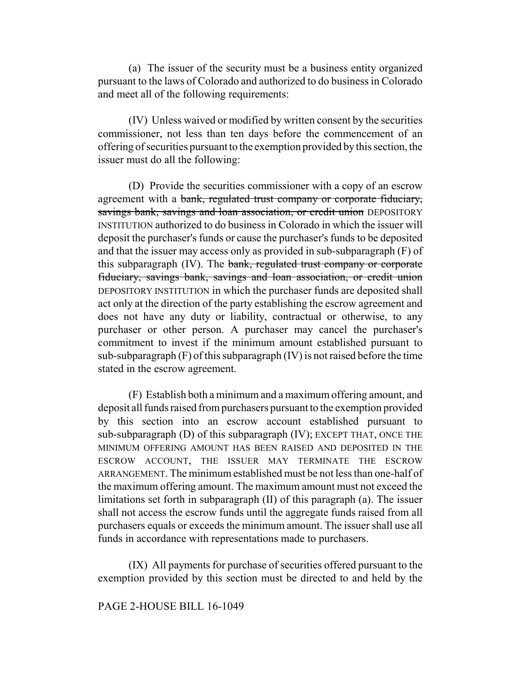(a) The issuer of the security must be a business entity organized pursuant to the laws of Colorado and authorized to do business in Colorado and meet all of the following requirements:

(IV) Unless waived or modified by written consent by the securities commissioner, not less than ten days before the commencement of an offering of securities pursuant to the exemption provided by this section, the issuer must do all the following:

(D) Provide the securities commissioner with a copy of an escrow agreement with a bank, regulated trust company or corporate fiduciary, savings bank, savings and loan association, or credit union DEPOSITORY INSTITUTION authorized to do business in Colorado in which the issuer will deposit the purchaser's funds or cause the purchaser's funds to be deposited and that the issuer may access only as provided in sub-subparagraph (F) of this subparagraph (IV). The bank, regulated trust company or corporate fiduciary, savings bank, savings and loan association, or credit union DEPOSITORY INSTITUTION in which the purchaser funds are deposited shall act only at the direction of the party establishing the escrow agreement and does not have any duty or liability, contractual or otherwise, to any purchaser or other person. A purchaser may cancel the purchaser's commitment to invest if the minimum amount established pursuant to sub-subparagraph (F) of this subparagraph (IV) is not raised before the time stated in the escrow agreement.

(F) Establish both a minimum and a maximum offering amount, and deposit all funds raised from purchasers pursuant to the exemption provided by this section into an escrow account established pursuant to sub-subparagraph (D) of this subparagraph (IV); EXCEPT THAT, ONCE THE MINIMUM OFFERING AMOUNT HAS BEEN RAISED AND DEPOSITED IN THE ESCROW ACCOUNT, THE ISSUER MAY TERMINATE THE ESCROW ARRANGEMENT. The minimum established must be not less than one-half of the maximum offering amount. The maximum amount must not exceed the limitations set forth in subparagraph (II) of this paragraph (a). The issuer shall not access the escrow funds until the aggregate funds raised from all purchasers equals or exceeds the minimum amount. The issuer shall use all funds in accordance with representations made to purchasers.

(IX) All payments for purchase of securities offered pursuant to the exemption provided by this section must be directed to and held by the

## PAGE 2-HOUSE BILL 16-1049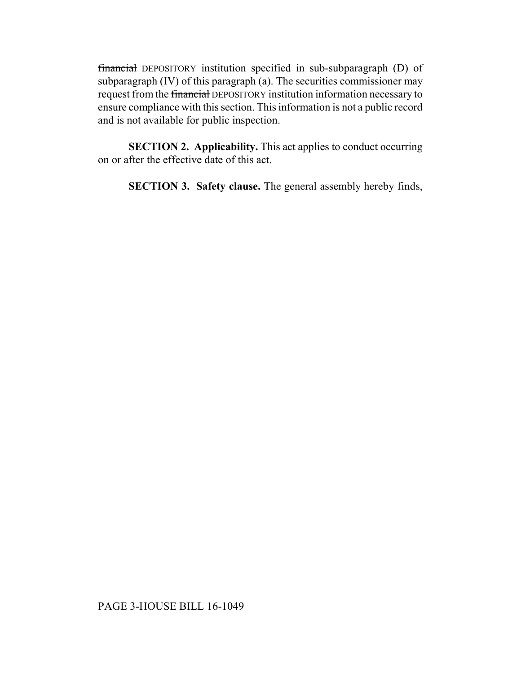financial DEPOSITORY institution specified in sub-subparagraph (D) of subparagraph (IV) of this paragraph (a). The securities commissioner may request from the financial DEPOSITORY institution information necessary to ensure compliance with this section. This information is not a public record and is not available for public inspection.

**SECTION 2. Applicability.** This act applies to conduct occurring on or after the effective date of this act.

**SECTION 3. Safety clause.** The general assembly hereby finds,